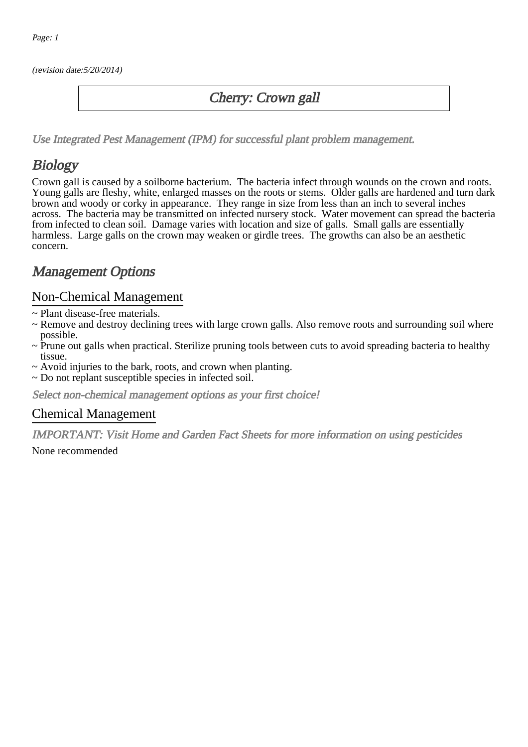(revision date:5/20/2014)

### Cherry: Crown gall

[Use Integrated Pest Management \(IPM\) for successful plant problem management.](http://pep.wsu.edu/Home_Garden/H_G_Pesticide_info/urban_Integrated_Pest_Managmen/)

## **Biology**

Crown gall is caused by a soilborne bacterium. The bacteria infect through wounds on the crown and roots. Young galls are fleshy, white, enlarged masses on the roots or stems. Older galls are hardened and turn dark brown and woody or corky in appearance. They range in size from less than an inch to several inches across. The bacteria may be transmitted on infected nursery stock. Water movement can spread the bacteria from infected to clean soil. Damage varies with location and size of galls. Small galls are essentially harmless. Large galls on the crown may weaken or girdle trees. The growths can also be an aesthetic concern.

## Management Options

#### Non-Chemical Management

- ~ Plant disease-free materials.
- ~ Remove and destroy declining trees with large crown galls. Also remove roots and surrounding soil where possible.
- ~ Prune out galls when practical. Sterilize pruning tools between cuts to avoid spreading bacteria to healthy tissue.
- ~ Avoid injuries to the bark, roots, and crown when planting.
- ~ Do not replant susceptible species in infected soil.

Select non-chemical management options as your first choice!

#### Chemical Management

IMPORTANT: [Visit Home and Garden Fact Sheets for more information on using pesticides](http://pep.wsu.edu/Home_Garden/H_G_Pesticide_info/)

None recommended